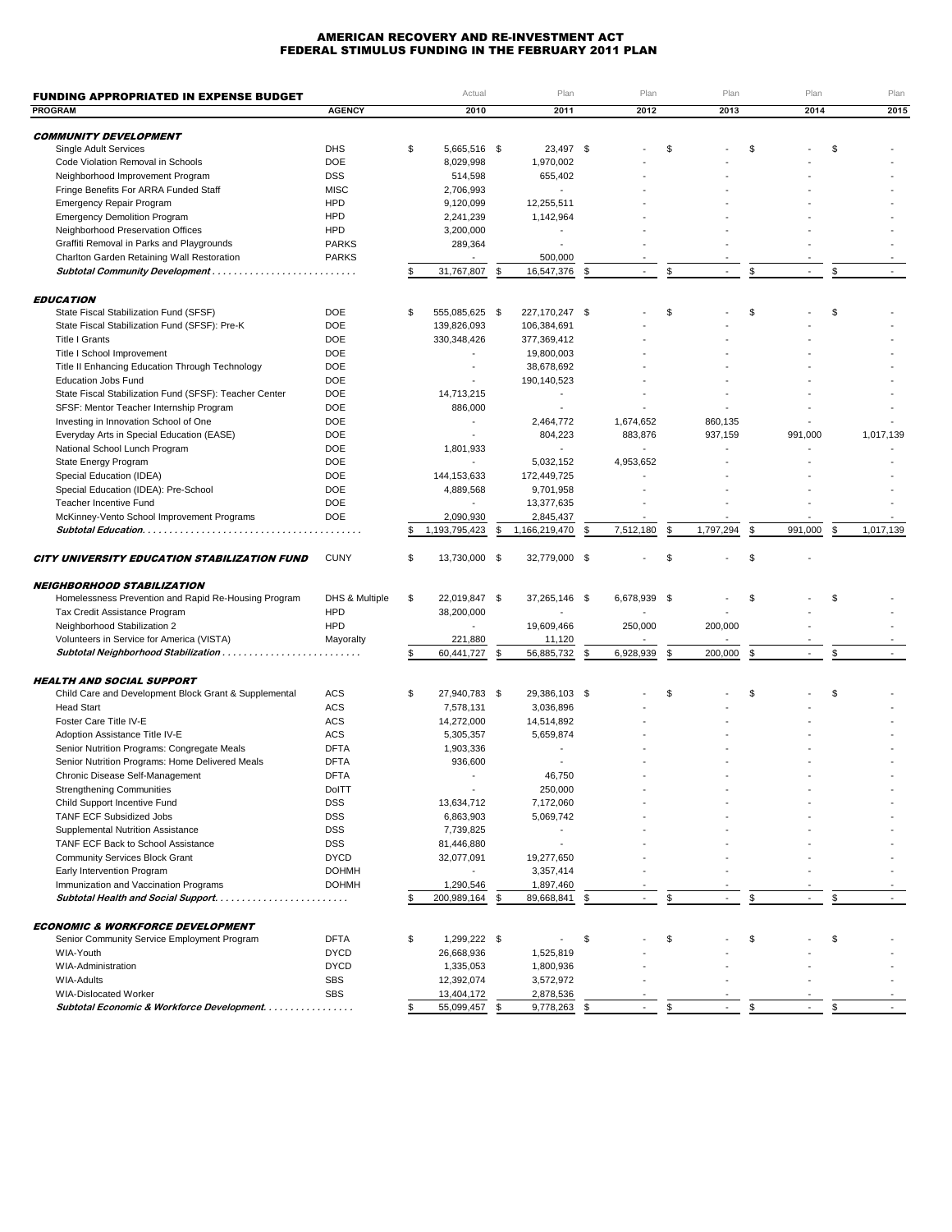## AMERICAN RECOVERY AND RE-INVESTMENT ACT FEDERAL STIMULUS FUNDING IN THE FEBRUARY 2011 PLAN

| <b>FUNDING APPROPRIATED IN EXPENSE BUDGET</b>              |                          | Actual                   |      | Plan                     | Plan                           |    | Plan      | Plan          |    | Plan      |
|------------------------------------------------------------|--------------------------|--------------------------|------|--------------------------|--------------------------------|----|-----------|---------------|----|-----------|
| <b>PROGRAM</b>                                             | <b>AGENCY</b>            | 2010                     |      | 2011                     | 2012                           |    | 2013      | 2014          |    | 2015      |
|                                                            |                          |                          |      |                          |                                |    |           |               |    |           |
| <b>COMMUNITY DEVELOPMENT</b>                               |                          |                          |      |                          |                                |    |           |               |    |           |
| Single Adult Services                                      | <b>DHS</b>               | \$<br>5,665,516 \$       |      | 23,497 \$                |                                | \$ |           | \$            | \$ |           |
| Code Violation Removal in Schools                          | <b>DOE</b>               | 8,029,998                |      | 1,970,002                |                                |    |           |               |    |           |
| Neighborhood Improvement Program                           | <b>DSS</b>               | 514,598                  |      | 655,402                  |                                |    |           |               |    |           |
| Fringe Benefits For ARRA Funded Staff                      | <b>MISC</b>              | 2,706,993                |      |                          |                                |    |           |               |    |           |
| Emergency Repair Program                                   | <b>HPD</b>               | 9,120,099                |      | 12,255,511               |                                |    |           |               |    |           |
| <b>Emergency Demolition Program</b>                        | <b>HPD</b>               | 2,241,239                |      | 1,142,964                |                                |    |           |               |    |           |
| Neighborhood Preservation Offices                          | <b>HPD</b>               | 3,200,000                |      | $\overline{\phantom{a}}$ |                                |    |           |               |    |           |
| Graffiti Removal in Parks and Playgrounds                  | <b>PARKS</b>             | 289,364                  |      |                          |                                |    |           |               |    |           |
| Charlton Garden Retaining Wall Restoration                 | <b>PARKS</b>             |                          |      | 500,000                  |                                |    |           |               |    |           |
|                                                            |                          | 31,767,807               | \$   | 16,547,376               | \$                             | S. |           | \$            | S  |           |
|                                                            |                          |                          |      |                          |                                |    |           |               |    |           |
| <b>EDUCATION</b><br>State Fiscal Stabilization Fund (SFSF) | <b>DOE</b>               | \$<br>555,085,625 \$     |      | 227,170,247 \$           |                                | \$ |           | \$            | \$ |           |
| State Fiscal Stabilization Fund (SFSF): Pre-K              | <b>DOE</b>               | 139,826,093              |      | 106,384,691              |                                |    |           |               |    |           |
| <b>Title I Grants</b>                                      | <b>DOE</b>               | 330, 348, 426            |      | 377,369,412              |                                |    |           |               |    |           |
| Title I School Improvement                                 | <b>DOE</b>               |                          |      | 19,800,003               |                                |    |           |               |    |           |
| Title II Enhancing Education Through Technology            | <b>DOE</b>               |                          |      | 38,678,692               |                                |    |           |               |    |           |
| <b>Education Jobs Fund</b>                                 | <b>DOE</b>               |                          |      | 190,140,523              |                                |    |           |               |    |           |
| State Fiscal Stabilization Fund (SFSF): Teacher Center     | <b>DOE</b>               | 14,713,215               |      | $\overline{\phantom{a}}$ |                                |    |           |               |    |           |
|                                                            | <b>DOE</b>               | 886,000                  |      | $\overline{\phantom{a}}$ |                                |    |           |               |    |           |
| SFSF: Mentor Teacher Internship Program                    |                          |                          |      |                          |                                |    |           |               |    |           |
| Investing in Innovation School of One                      | <b>DOE</b><br><b>DOE</b> |                          |      | 2,464,772                | 1,674,652                      |    | 860,135   |               |    |           |
| Everyday Arts in Special Education (EASE)                  |                          |                          |      | 804,223                  | 883,876                        |    | 937,159   | 991,000       |    | 1,017,139 |
| National School Lunch Program                              | <b>DOE</b>               | 1,801,933                |      | $\overline{a}$           | $\overline{a}$                 |    |           |               |    |           |
| State Energy Program                                       | <b>DOE</b>               |                          |      | 5,032,152                | 4,953,652                      |    |           |               |    |           |
| Special Education (IDEA)                                   | <b>DOE</b>               | 144,153,633              |      | 172,449,725              |                                |    |           |               |    |           |
| Special Education (IDEA): Pre-School                       | <b>DOE</b>               | 4,889,568                |      | 9,701,958                |                                |    |           |               |    |           |
| Teacher Incentive Fund                                     | <b>DOE</b>               |                          |      | 13,377,635               |                                |    |           |               |    |           |
| McKinney-Vento School Improvement Programs                 | <b>DOE</b>               | 2,090,930                |      | 2,845,437                |                                |    |           |               |    |           |
|                                                            |                          | 1,193,795,423            | \$   | 1,166,219,470            | \$<br>7,512,180                | \$ | 1,797,294 | \$<br>991,000 | \$ | 1,017,139 |
| <b>CITY UNIVERSITY EDUCATION STABILIZATION FUND</b>        | <b>CUNY</b>              | \$<br>13,730,000 \$      |      | 32,779,000 \$            |                                | \$ |           | \$            |    |           |
|                                                            |                          |                          |      |                          |                                |    |           |               |    |           |
| <b>NEIGHBORHOOD STABILIZATION</b>                          |                          |                          |      |                          |                                |    |           |               |    |           |
| Homelessness Prevention and Rapid Re-Housing Program       | DHS & Multiple           | \$<br>22,019,847 \$      |      | 37,265,146 \$            | 6,678,939 \$                   |    |           | \$            | \$ |           |
| Tax Credit Assistance Program                              | <b>HPD</b>               | 38,200,000               |      |                          |                                |    |           |               |    |           |
| Neighborhood Stabilization 2                               | <b>HPD</b>               |                          |      | 19,609,466               | 250,000                        |    | 200,000   |               |    |           |
| Volunteers in Service for America (VISTA)                  | Mayoralty                | 221,880                  |      | 11,120                   |                                |    |           |               |    |           |
|                                                            |                          | 60,441,727               | \$   | 56,885,732               | \$<br>6,928,939                | \$ | 200,000   | \$            | \$ |           |
| <b>HEALTH AND SOCIAL SUPPORT</b>                           |                          |                          |      |                          |                                |    |           |               |    |           |
| Child Care and Development Block Grant & Supplemental      | ACS                      | \$<br>27,940,783 \$      |      | 29,386,103 \$            |                                | \$ |           | \$            | \$ |           |
| <b>Head Start</b>                                          | <b>ACS</b>               | 7,578,131                |      | 3,036,896                |                                |    |           |               |    |           |
| Foster Care Title IV-E                                     | ACS                      | 14,272,000               |      | 14,514,892               |                                |    |           |               |    |           |
| Adoption Assistance Title IV-E                             | ACS                      | 5,305,357                |      | 5,659,874                |                                |    |           |               |    |           |
| Senior Nutrition Programs: Congregate Meals                | <b>DFTA</b>              | 1,903,336                |      |                          |                                |    |           |               |    |           |
| Senior Nutrition Programs: Home Delivered Meals            | <b>DFTA</b>              | 936,600                  |      |                          |                                |    |           |               |    |           |
| Chronic Disease Self-Management                            | <b>DFTA</b>              | $\overline{\phantom{a}}$ |      | 46,750                   |                                |    |           |               |    |           |
| <b>Strengthening Communities</b>                           | DolTT                    |                          |      | 250,000                  |                                |    |           |               |    |           |
| Child Support Incentive Fund                               | <b>DSS</b>               | 13,634,712               |      | 7,172,060                |                                |    |           |               |    |           |
| <b>TANF ECF Subsidized Jobs</b>                            | <b>DSS</b>               | 6,863,903                |      | 5,069,742                |                                |    |           |               |    |           |
| Supplemental Nutrition Assistance                          | <b>DSS</b>               | 7,739,825                |      |                          |                                |    |           |               |    |           |
| TANF ECF Back to School Assistance                         | <b>DSS</b>               | 81,446,880               |      |                          |                                |    |           |               |    |           |
|                                                            |                          |                          |      |                          |                                |    |           |               |    |           |
| <b>Community Services Block Grant</b>                      | <b>DYCD</b>              | 32,077,091               |      | 19,277,650               |                                |    |           |               |    |           |
| Early Intervention Program                                 | <b>DOHMH</b>             |                          |      | 3,357,414                |                                |    |           |               |    |           |
| Immunization and Vaccination Programs                      | <b>DOHMH</b>             | 1,290,546<br>200,989,164 | \$   | 1,897,460<br>89,668,841  | \$<br>$\overline{\phantom{a}}$ | \$ |           | \$            | \$ |           |
|                                                            |                          |                          |      |                          |                                |    |           |               |    |           |
| <b>ECONOMIC &amp; WORKFORCE DEVELOPMENT</b>                |                          |                          |      |                          |                                |    |           |               |    |           |
| Senior Community Service Employment Program                | <b>DFTA</b>              | \$<br>1,299,222 \$       |      |                          | \$                             | \$ |           | \$            | \$ |           |
| WIA-Youth                                                  | <b>DYCD</b>              | 26,668,936               |      | 1,525,819                |                                |    |           |               |    |           |
| WIA-Administration                                         | <b>DYCD</b>              | 1,335,053                |      | 1,800,936                |                                |    |           |               |    |           |
| <b>WIA-Adults</b>                                          | <b>SBS</b>               | 12,392,074               |      | 3,572,972                |                                |    |           |               |    |           |
| <b>WIA-Dislocated Worker</b>                               | <b>SBS</b>               | 13,404,172               |      | 2,878,536                |                                |    |           |               |    |           |
| Subtotal Economic & Workforce Development.                 |                          | 55,099,457               | - \$ | 9,778,263 \$             |                                | \$ |           |               |    |           |